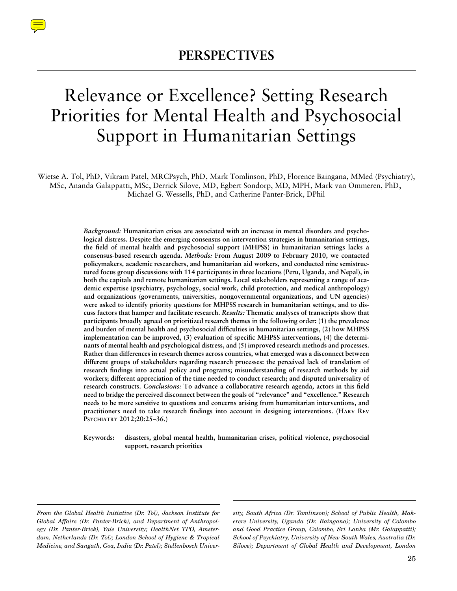# Relevance or Excellence? Setting Research Priorities for Mental Health and Psychosocial Support in Humanitarian Settings

Wietse A. Tol, PhD, Vikram Patel, MRCPsych, PhD, Mark Tomlinson, PhD, Florence Baingana, MMed (Psychiatry), MSc, Ananda Galappatti, MSc, Derrick Silove, MD, Egbert Sondorp, MD, MPH, Mark van Ommeren, PhD, Michael G. Wessells, PhD, and Catherine Panter-Brick, DPhil

> *Background:* **Humanitarian crises are associated with an increase in mental disorders and psychological distress. Despite the emerging consensus on intervention strategies in humanitarian settings, the field of mental health and psychosocial support (MHPSS) in humanitarian settings lacks a consensus-based research agenda.** *Methods:* **From August 2009 to February 2010, we contacted policymakers, academic researchers, and humanitarian aid workers, and conducted nine semistructured focus group discussions with 114 participants in three locations (Peru, Uganda, and Nepal), in both the capitals and remote humanitarian settings. Local stakeholders representing a range of academic expertise (psychiatry, psychology, social work, child protection, and medical anthropology) and organizations (governments, universities, nongovernmental organizations, and UN agencies) were asked to identify priority questions for MHPSS research in humanitarian settings, and to discuss factors that hamper and facilitate research.** *Results:* **Thematic analyses of transcripts show that participants broadly agreed on prioritized research themes in the following order: (1) the prevalence and burden of mental health and psychosocial difficulties in humanitarian settings, (2) how MHPSS implementation can be improved, (3) evaluation of specific MHPSS interventions, (4) the determinants of mental health and psychological distress, and (5) improved research methods and processes. Rather than differences in research themes across countries, what emerged was a disconnect between different groups of stakeholders regarding research processes: the perceived lack of translation of research findings into actual policy and programs; misunderstanding of research methods by aid workers; different appreciation of the time needed to conduct research; and disputed universality of research constructs.** *Conclusions:* **To advance a collaborative research agenda, actors in this field need to bridge the perceived disconnect between the goals of "relevance" and "excellence." Research needs to be more sensitive to questions and concerns arising from humanitarian interventions, and practitioners need to take research findings into account in designing interventions. (HARV REV PSYCHIATRY 2012;20:25–36.)**

> **Keywords: disasters, global mental health, humanitarian crises, political violence, psychosocial support, research priorities**

*From the Global Health Initiative (Dr. Tol), Jackson Institute for Global Affairs (Dr. Panter-Brick), and Department of Anthropology (Dr. Panter-Brick), Yale University; HealthNet TPO, Amsterdam, Netherlands (Dr. Tol); London School of Hygiene & Tropical Medicine, and Sangath, Goa, India (Dr. Patel); Stellenbosch Univer-* *sity, South Africa (Dr. Tomlinson); School of Public Health, Makerere University, Uganda (Dr. Baingana); University of Colombo and Good Practice Group, Colombo, Sri Lanka (Mr. Galappatti); School of Psychiatry, University of New South Wales, Australia (Dr. Silove); Department of Global Health and Development, London*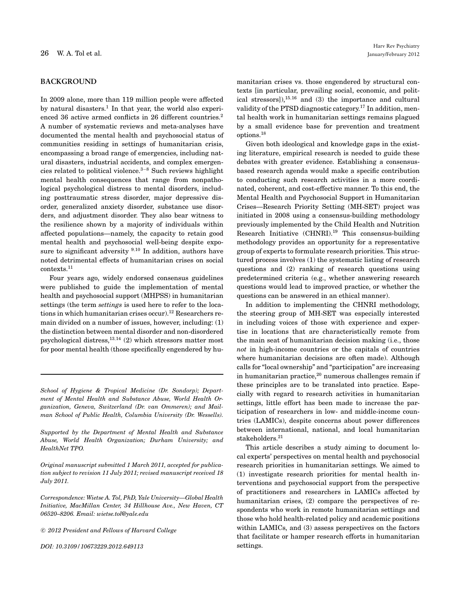# **BACKGROUND**

In 2009 alone, more than 119 million people were affected by natural disasters.<sup>1</sup> In that year, the world also experienced 36 active armed conflicts in 26 different countries.<sup>2</sup> A number of systematic reviews and meta-analyses have documented the mental health and psychosocial status of communities residing in settings of humanitarian crisis, encompassing a broad range of emergencies, including natural disasters, industrial accidents, and complex emergencies related to political violence.<sup>3</sup>−<sup>8</sup> Such reviews highlight mental health consequences that range from nonpathological psychological distress to mental disorders, including posttraumatic stress disorder, major depressive disorder, generalized anxiety disorder, substance use disorders, and adjustment disorder. They also bear witness to the resilience shown by a majority of individuals within affected populations—namely, the capacity to retain good mental health and psychosocial well-being despite exposure to significant adversity <sup>9</sup>*,*<sup>10</sup> In addition, authors have noted detrimental effects of humanitarian crises on social contexts.11

Four years ago, widely endorsed consensus guidelines were published to guide the implementation of mental health and psychosocial support (MHPSS) in humanitarian settings (the term *settings* is used here to refer to the locations in which humanitarian crises occur).12 Researchers remain divided on a number of issues, however, including: (1) the distinction between mental disorder and non-disordered psychological distress,13*,*<sup>14</sup> (2) which stressors matter most for poor mental health (those specifically engendered by hu-

*School of Hygiene & Tropical Medicine (Dr. Sondorp); Department of Mental Health and Substance Abuse, World Health Organization, Geneva, Switzerland (Dr. van Ommeren); and Mailman School of Public Health, Columbia University (Dr. Wessells).*

*Supported by the Department of Mental Health and Substance Abuse, World Health Organization; Durham University; and HealthNet TPO.*

*Original manuscript submitted 1 March 2011, accepted for publication subject to revision 11 July 2011; revised manuscript received 18 July 2011.*

*Correspondence: Wietse A. Tol, PhD, Yale University—Global Health Initiative, MacMillan Center, 34 Hillhouse Ave., New Haven, CT 06520–8206. Email: wietse.tol@yale.edu*

*DOI: 10.3109/10673229.2012.649113*

manitarian crises vs. those engendered by structural contexts [in particular, prevailing social, economic, and political stressors]),<sup>15</sup>*,*<sup>16</sup> and (3) the importance and cultural validity of the PTSD diagnostic category.<sup>17</sup> In addition, mental health work in humanitarian settings remains plagued by a small evidence base for prevention and treatment options.18

Given both ideological and knowledge gaps in the existing literature, empirical research is needed to guide these debates with greater evidence. Establishing a consensusbased research agenda would make a specific contribution to conducting such research activities in a more coordinated, coherent, and cost-effective manner. To this end, the Mental Health and Psychosocial Support in Humanitarian Crises—Research Priority Setting (MH-SET) project was initiated in 2008 using a consensus-building methodology previously implemented by the Child Health and Nutrition Research Initiative (CHNRI).19 This consensus-building methodology provides an opportunity for a representative group of experts to formulate research priorities. This structured process involves (1) the systematic listing of research questions and (2) ranking of research questions using predetermined criteria (e.g., whether answering research questions would lead to improved practice, or whether the questions can be answered in an ethical manner).

In addition to implementing the CHNRI methodology, the steering group of MH-SET was especially interested in including voices of those with experience and expertise in locations that are characteristically remote from the main seat of humanitarian decision making (i.e., those *not* in high-income countries or the capitals of countries where humanitarian decisions are often made). Although calls for "local ownership" and "participation" are increasing in humanitarian practice, $20$  numerous challenges remain if these principles are to be translated into practice. Especially with regard to research activities in humanitarian settings, little effort has been made to increase the participation of researchers in low- and middle-income countries (LAMICs), despite concerns about power differences between international, national, and local humanitarian stakeholders.<sup>21</sup>

This article describes a study aiming to document local experts' perspectives on mental health and psychosocial research priorities in humanitarian settings. We aimed to (1) investigate research priorities for mental health interventions and psychosocial support from the perspective of practitioners and researchers in LAMICs affected by humanitarian crises, (2) compare the perspectives of respondents who work in remote humanitarian settings and those who hold health-related policy and academic positions within LAMICs, and (3) assess perspectives on the factors that facilitate or hamper research efforts in humanitarian settings.

c *2012 President and Fellows of Harvard College*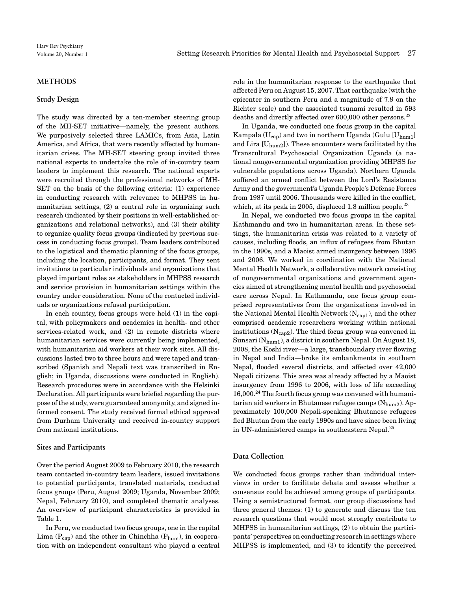# **METHODS**

#### **Study Design**

The study was directed by a ten-member steering group of the MH-SET initiative—namely, the present authors. We purposively selected three LAMICs, from Asia, Latin America, and Africa, that were recently affected by humanitarian crises. The MH-SET steering group invited three national experts to undertake the role of in-country team leaders to implement this research. The national experts were recruited through the professional networks of MH-SET on the basis of the following criteria: (1) experience in conducting research with relevance to MHPSS in humanitarian settings, (2) a central role in organizing such research (indicated by their positions in well-established organizations and relational networks), and (3) their ability to organize quality focus groups (indicated by previous success in conducting focus groups). Team leaders contributed to the logistical and thematic planning of the focus groups, including the location, participants, and format. They sent invitations to particular individuals and organizations that played important roles as stakeholders in MHPSS research and service provision in humanitarian settings within the country under consideration. None of the contacted individuals or organizations refused participation.

In each country, focus groups were held (1) in the capital, with policymakers and academics in health- and other services-related work, and (2) in remote districts where humanitarian services were currently being implemented, with humanitarian aid workers at their work sites. All discussions lasted two to three hours and were taped and transcribed (Spanish and Nepali text was transcribed in English; in Uganda, discussions were conducted in English). Research procedures were in accordance with the Helsinki Declaration. All participants were briefed regarding the purpose of the study, were guaranteed anonymity, and signed informed consent. The study received formal ethical approval from Durham University and received in-country support from national institutions.

#### **Sites and Participants**

Over the period August 2009 to February 2010, the research team contacted in-country team leaders, issued invitations to potential participants, translated materials, conducted focus groups (Peru, August 2009; Uganda, November 2009; Nepal, February 2010), and completed thematic analyses. An overview of participant characteristics is provided in Table 1.

In Peru, we conducted two focus groups, one in the capital Lima ( $P_{cap}$ ) and the other in Chinchha ( $P_{hum}$ ), in cooperation with an independent consultant who played a central role in the humanitarian response to the earthquake that affected Peru on August 15, 2007. That earthquake (with the epicenter in southern Peru and a magnitude of 7.9 on the Richter scale) and the associated tsunami resulted in 593 deaths and directly affected over 600,000 other persons.<sup>22</sup>

In Uganda, we conducted one focus group in the capital Kampala ( $U_{cap}$ ) and two in northern Uganda (Gulu  $[U_{\text{hum}}]$ and Lira [Uhum2]). These encounters were facilitated by the Transcultural Psychosocial Organization Uganda (a national nongovernmental organization providing MHPSS for vulnerable populations across Uganda). Northern Uganda suffered an armed conflict between the Lord's Resistance Army and the government's Uganda People's Defense Forces from 1987 until 2006. Thousands were killed in the conflict, which, at its peak in 2005, displaced 1.8 million people.<sup>23</sup>

In Nepal, we conducted two focus groups in the capital Kathmandu and two in humanitarian areas. In these settings, the humanitarian crisis was related to a variety of causes, including floods, an influx of refugees from Bhutan in the 1990s, and a Maoist armed insurgency between 1996 and 2006. We worked in coordination with the National Mental Health Network, a collaborative network consisting of nongovernmental organizations and government agencies aimed at strengthening mental health and psychosocial care across Nepal. In Kathmandu, one focus group comprised representatives from the organizations involved in the National Mental Health Network  $(N_{\text{cap1}})$ , and the other comprised academic researchers working within national institutions  $(N_{cap2})$ . The third focus group was convened in Sunsari (Nhum1), a district in southern Nepal. On August 18, 2008, the Koshi river—a large, transboundary river flowing in Nepal and India—broke its embankments in southern Nepal, flooded several districts, and affected over 42,000 Nepali citizens. This area was already affected by a Maoist insurgency from 1996 to 2006, with loss of life exceeding  $16,000$ .<sup>24</sup> The fourth focus group was convened with humanitarian aid workers in Bhutanese refugee camps  $(N_{\text{hum2}})$ . Approximately 100,000 Nepali-speaking Bhutanese refugees fled Bhutan from the early 1990s and have since been living in UN-administered camps in southeastern Nepal.25

#### **Data Collection**

We conducted focus groups rather than individual interviews in order to facilitate debate and assess whether a consensus could be achieved among groups of participants. Using a semistructured format, our group discussions had three general themes: (1) to generate and discuss the ten research questions that would most strongly contribute to MHPSS in humanitarian settings, (2) to obtain the participants' perspectives on conducting research in settings where MHPSS is implemented, and (3) to identify the perceived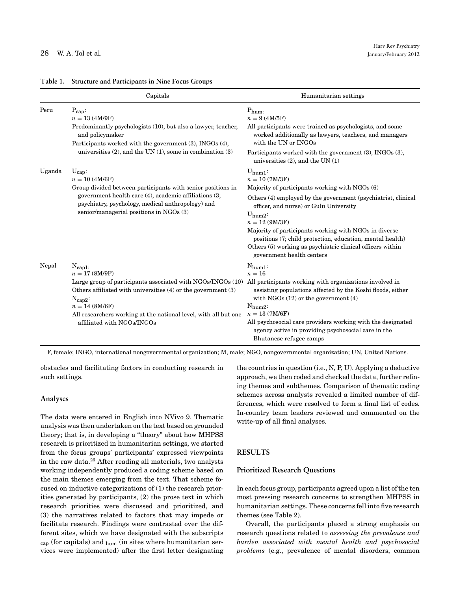#### 28 W. A. Tol et al.

|        | Capitals                                                                                                                                                                                                                                                                                                      | Humanitarian settings                                                                                                                                                                                                                                                                                                                                                                                                                                             |
|--------|---------------------------------------------------------------------------------------------------------------------------------------------------------------------------------------------------------------------------------------------------------------------------------------------------------------|-------------------------------------------------------------------------------------------------------------------------------------------------------------------------------------------------------------------------------------------------------------------------------------------------------------------------------------------------------------------------------------------------------------------------------------------------------------------|
| Peru   | $P_{cap}$ :<br>$n = 13 (4M/9F)$<br>Predominantly psychologists (10), but also a lawyer, teacher,<br>and policymaker<br>Participants worked with the government $(3)$ , INGOs $(4)$ ,<br>universities $(2)$ , and the UN $(1)$ , some in combination $(3)$                                                     | $P_{\text{hum}}$<br>$n = 9 (4M/5F)$<br>All participants were trained as psychologists, and some<br>worked additionally as lawyers, teachers, and managers<br>with the UN or INGOs<br>Participants worked with the government (3), INGOs (3),<br>universities $(2)$ , and the UN $(1)$                                                                                                                                                                             |
| Uganda | $U_{\rm can}$ :<br>$n = 10 (4M/6F)$<br>Group divided between participants with senior positions in<br>government health care (4), academic affiliations (3;<br>psychiatry, psychology, medical anthropology) and<br>senior/managerial positions in $NGOs(3)$                                                  | $U_{\text{hum1}}$ :<br>$n = 10 (7M/3F)$<br>Majority of participants working with $NGOs(6)$<br>Others (4) employed by the government (psychiatrist, clinical<br>officer, and nurse) or Gulu University<br>$U_{\text{hum2}}$ :<br>$n = 12 (9M/3F)$<br>Majority of participants working with NGOs in diverse<br>positions (7; child protection, education, mental health)<br>Others (5) working as psychiatric clinical officers within<br>government health centers |
| Nepal  | $N_{cap1}$<br>$n = 17(8M/9F)$<br>Large group of participants associated with NGOs/INGOs (10)<br>Others affiliated with universities $(4)$ or the government $(3)$<br>$N_{\text{cap2}}$ :<br>$n = 14 (8M/6F)$<br>All researchers working at the national level, with all but one<br>affiliated with NGOs/INGOs | $N_{\text{hum1}}$ :<br>$n=16$<br>All participants working with organizations involved in<br>assisting populations affected by the Koshi floods, either<br>with $NGOs(12)$ or the government $(4)$<br>$N_{\text{hum2}}$ :<br>$n = 13 (7M/6F)$<br>All psychosocial care providers working with the designated<br>agency active in providing psychosocial care in the<br>Bhutanese refugee camps                                                                     |

#### **Table 1. Structure and Participants in Nine Focus Groups**

F, female; INGO, international nongovernmental organization; M, male; NGO, nongovernmental organization; UN, United Nations.

obstacles and facilitating factors in conducting research in such settings.

#### **Analyses**

The data were entered in English into NVivo 9. Thematic analysis was then undertaken on the text based on grounded theory; that is, in developing a "theory" about how MHPSS research is prioritized in humanitarian settings, we started from the focus groups' participants' expressed viewpoints in the raw data.<sup>26</sup> After reading all materials, two analysts working independently produced a coding scheme based on the main themes emerging from the text. That scheme focused on inductive categorizations of (1) the research priorities generated by participants, (2) the prose text in which research priorities were discussed and prioritized, and (3) the narratives related to factors that may impede or facilitate research. Findings were contrasted over the different sites, which we have designated with the subscripts  $_{cap}$  (for capitals) and  $_{hum}$  (in sites where humanitarian services were implemented) after the first letter designating

the countries in question (i.e., N, P, U). Applying a deductive approach, we then coded and checked the data, further refining themes and subthemes. Comparison of thematic coding schemes across analysts revealed a limited number of differences, which were resolved to form a final list of codes. In-country team leaders reviewed and commented on the write-up of all final analyses.

#### **RESULTS**

#### **Prioritized Research Questions**

In each focus group, participants agreed upon a list of the ten most pressing research concerns to strengthen MHPSS in humanitarian settings. These concerns fell into five research themes (see Table 2).

Overall, the participants placed a strong emphasis on research questions related to *assessing the prevalence and burden associated with mental health and psychosocial problems* (e.g., prevalence of mental disorders, common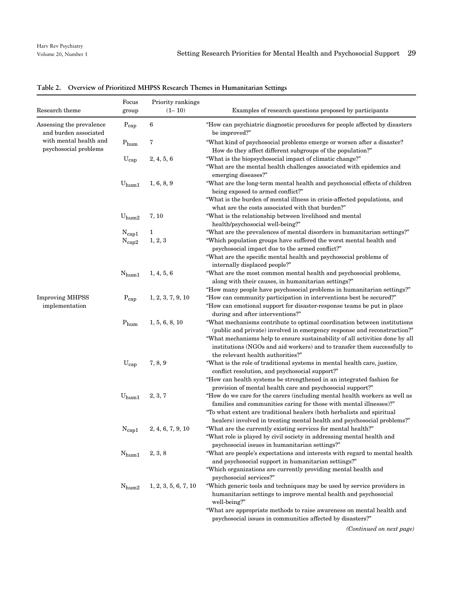# Harv Rev Psychiatry

| Table 2. Overview of Prioritized MHPSS Research Themes in Humanitarian Settings |  |  |
|---------------------------------------------------------------------------------|--|--|
|                                                                                 |  |  |

| Research theme                                    | Focus<br>group               | Priority rankings<br>$(1 - 10)$ | Examples of research questions proposed by participants                                                                                                                                                                                                                                                                                                             |
|---------------------------------------------------|------------------------------|---------------------------------|---------------------------------------------------------------------------------------------------------------------------------------------------------------------------------------------------------------------------------------------------------------------------------------------------------------------------------------------------------------------|
| Assessing the prevalence<br>and burden associated | $P_{cap}$                    | 6                               | "How can psychiatric diagnostic procedures for people affected by disasters<br>be improved?"                                                                                                                                                                                                                                                                        |
| with mental health and<br>psychosocial problems   | $P_{\text{hum}}$             | 7                               | "What kind of psychosocial problems emerge or worsen after a disaster?<br>How do they affect different subgroups of the population?"                                                                                                                                                                                                                                |
|                                                   | $U_{cap}$                    | 2, 4, 5, 6                      | "What is the biopsychosocial impact of climatic change?"<br>"What are the mental health challenges associated with epidemics and<br>emerging diseases?"                                                                                                                                                                                                             |
|                                                   | $U_{\text{hum1}}$            | 1, 6, 8, 9                      | "What are the long-term mental health and psychosocial effects of children<br>being exposed to armed conflict?"<br>"What is the burden of mental illness in crisis-affected populations, and<br>what are the costs associated with that burden?"                                                                                                                    |
|                                                   | $U_{\text{hum2}}$            | 7, 10                           | "What is the relationship between livelihood and mental<br>health/psychosocial well-being?"                                                                                                                                                                                                                                                                         |
|                                                   | $\rm N_{cap1}$<br>$N_{cap2}$ | $\mathbf{1}$<br>1, 2, 3         | "What are the prevalences of mental disorders in humanitarian settings?"<br>"Which population groups have suffered the worst mental health and<br>psychosocial impact due to the armed conflict?"<br>"What are the specific mental health and psychosocial problems of                                                                                              |
|                                                   | $N_{\text{hum1}}$            | 1, 4, 5, 6                      | internally displaced people?"<br>"What are the most common mental health and psychosocial problems,<br>along with their causes, in humanitarian settings?"<br>"How many people have psychosocial problems in humanitarian settings?"                                                                                                                                |
| <b>Improving MHPSS</b><br>implementation          | $P_{cap}$                    | 1, 2, 3, 7, 9, 10               | "How can community participation in interventions best be secured?"<br>"How can emotional support for disaster-response teams be put in place<br>during and after interventions?"                                                                                                                                                                                   |
|                                                   | $\mathbf{P}_{\text{hum}}$    | 1, 5, 6, 8, 10                  | "What mechanisms contribute to optimal coordination between institutions<br>(public and private) involved in emergency response and reconstruction?"<br>"What mechanisms help to ensure sustainability of all activities done by all<br>institutions (NGOs and aid workers) and to transfer them successfully to<br>the relevant health authorities?"               |
|                                                   | $U_{cap}$                    | 7, 8, 9                         | "What is the role of traditional systems in mental health care, justice,<br>conflict resolution, and psychosocial support?"<br>"How can health systems be strengthened in an integrated fashion for                                                                                                                                                                 |
|                                                   | $U_{\text{hum1}}$            | 2, 3, 7                         | provision of mental health care and psychosocial support?"<br>"How do we care for the carers (including mental health workers as well as<br>families and communities caring for those with mental illnesses)?"<br>"To what extent are traditional healers (both herbalists and spiritual<br>healers) involved in treating mental health and psychosocial problems?" |
|                                                   | $N_{cap1}$                   | 2, 4, 6, 7, 9, 10               | "What are the currently existing services for mental health?"<br>"What role is played by civil society in addressing mental health and<br>psychosocial issues in humanitarian settings?"                                                                                                                                                                            |
|                                                   | $N_{\text{hum1}}$            | 2, 3, 8                         | "What are people's expectations and interests with regard to mental health<br>and psychosocial support in humanitarian settings?"<br>"Which organizations are currently providing mental health and<br>psychosocial services?"                                                                                                                                      |
|                                                   | $N_{\text{hum2}}$            | 1, 2, 3, 5, 6, 7, 10            | "Which generic tools and techniques may be used by service providers in<br>humanitarian settings to improve mental health and psychosocial<br>well-being?"<br>"What are appropriate methods to raise awareness on mental health and<br>psychosocial issues in communities affected by disasters?"                                                                   |

*(Continued on next page)*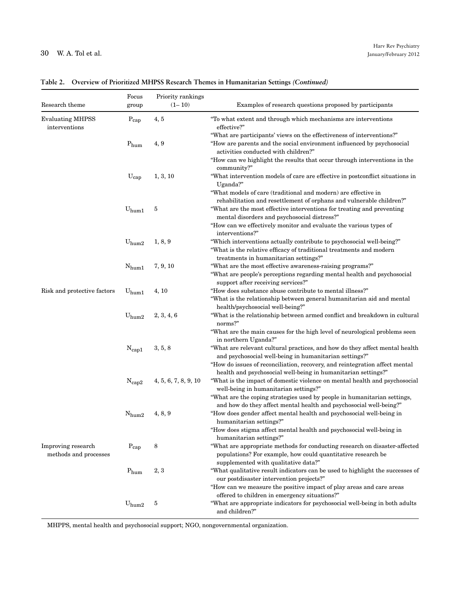# 30 W. A. Tol et al.

| Research theme                           | ${\rm F}\!{\rm o}\!{\rm c}\!{\rm u}\!{\rm s}$<br>group | Priority rankings<br>$(1 - 10)$ | Examples of research questions proposed by participants                                                                                                                                                                                                                             |
|------------------------------------------|--------------------------------------------------------|---------------------------------|-------------------------------------------------------------------------------------------------------------------------------------------------------------------------------------------------------------------------------------------------------------------------------------|
| <b>Evaluating MHPSS</b><br>interventions | $P_{cap}$                                              | 4, 5                            | "To what extent and through which mechanisms are interventions<br>effective?"                                                                                                                                                                                                       |
|                                          | $\rm P_{\rm hum}$                                      | 4, 9                            | "What are participants' views on the effectiveness of interventions?"<br>"How are parents and the social environment influenced by psychosocial<br>activities conducted with children?"<br>"How can we highlight the results that occur through interventions in the<br>community?" |
|                                          | $U_{cap}$                                              | 1, 3, 10                        | "What intervention models of care are effective in postconflict situations in<br>Uganda?"<br>"What models of care (traditional and modern) are effective in                                                                                                                         |
|                                          | $U_{\text{hum1}}$                                      | 5                               | rehabilitation and resettlement of orphans and vulnerable children?"<br>"What are the most effective interventions for treating and preventing<br>mental disorders and psychosocial distress?"                                                                                      |
|                                          | $U_{\text{hum2}}$                                      | 1, 8, 9                         | "How can we effectively monitor and evaluate the various types of<br>interventions?"<br>"Which interventions actually contribute to psychosocial well-being?"                                                                                                                       |
|                                          |                                                        |                                 | "What is the relative efficacy of traditional treatments and modern<br>treatments in humanitarian settings?"                                                                                                                                                                        |
|                                          | $N_{\text{hum1}}$                                      | 7, 9, 10                        | "What are the most effective awareness-raising programs?"<br>"What are people's perceptions regarding mental health and psychosocial<br>support after receiving services?"                                                                                                          |
| Risk and protective factors              | $U_{\text{hum1}}$                                      | 4, 10                           | "How does substance abuse contribute to mental illness?"<br>"What is the relationship between general humanitarian aid and mental<br>health/psychosocial well-being?"                                                                                                               |
|                                          | $U_{\text{hum2}}$                                      | 2, 3, 4, 6                      | "What is the relationship between armed conflict and breakdown in cultural<br>norms?"<br>"What are the main causes for the high level of neurological problems seen                                                                                                                 |
|                                          | $N_{cap1}$                                             | 3, 5, 8                         | in northern Uganda?"<br>"What are relevant cultural practices, and how do they affect mental health<br>and psychosocial well-being in humanitarian settings?"<br>"How do issues of reconciliation, recovery, and reintegration affect mental                                        |
|                                          | $N_{cap2}$                                             | 4, 5, 6, 7, 8, 9, 10            | health and psychosocial well-being in humanitarian settings?"<br>"What is the impact of domestic violence on mental health and psychosocial<br>well-being in humanitarian settings?"                                                                                                |
|                                          | $N_{\text{hum2}}$                                      | 4, 8, 9                         | "What are the coping strategies used by people in humanitarian settings,<br>and how do they affect mental health and psychosocial well-being?"<br>"How does gender affect mental health and psychosocial well-being in<br>humanitarian settings?"                                   |
| Improving research                       | $P_{cap}$                                              | 8                               | "How does stigma affect mental health and psychosocial well-being in<br>humanitarian settings?"<br>"What are appropriate methods for conducting research on disaster-affected                                                                                                       |
| methods and processes                    |                                                        |                                 | populations? For example, how could quantitative research be<br>supplemented with qualitative data?"                                                                                                                                                                                |
|                                          | $\mathbf{P}_{\text{hum}}$                              | 2, 3                            | "What qualitative result indicators can be used to highlight the successes of<br>our postdisaster intervention projects?"<br>"How can we measure the positive impact of play areas and care areas                                                                                   |
|                                          | $U_{\text{hum2}}$                                      | 5                               | offered to children in emergency situations?"<br>"What are appropriate indicators for psychosocial well-being in both adults<br>and children?"                                                                                                                                      |

# **Table 2. Overview of Prioritized MHPSS Research Themes in Humanitarian Settings** *(Continued)*

MHPPS, mental health and psychosocial support; NGO, nongovernmental organization.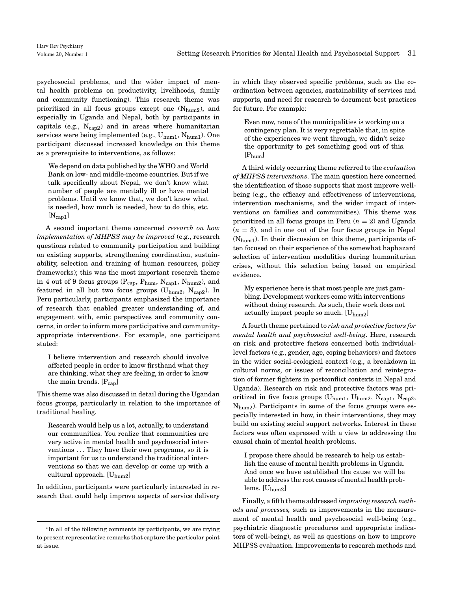psychosocial problems, and the wider impact of mental health problems on productivity, livelihoods, family and community functioning). This research theme was prioritized in all focus groups except one  $(N_{\text{hum2}})$ , and especially in Uganda and Nepal, both by participants in capitals (e.g.,  $N_{cap2}$ ) and in areas where humanitarian services were being implemented (e.g.,  $U_{\text{hum1}}$ ,  $N_{\text{hum1}}$ ). One participant discussed increased knowledge on this theme as a prerequisite to interventions, as follows:

We depend on data published by the WHO and World Bank on low- and middle-income countries. But if we talk specifically about Nepal, we don't know what number of people are mentally ill or have mental problems. Until we know that, we don't know what is needed, how much is needed, how to do this, etc.  $[N_{\rm cap1}]$ 

A second important theme concerned *research on how implementation of MHPSS may be improved* (e.g., research questions related to community participation and building on existing supports, strengthening coordination, sustainability, selection and training of human resources, policy frameworks); this was the most important research theme in 4 out of 9 focus groups ( $P_{cap}$ ,  $P_{hum}$ ,  $N_{cap1}$ ,  $N_{hum2}$ ), and featured in all but two focus groups  $(U_{\text{hum2}}, N_{\text{cap2}})$ . In Peru particularly, participants emphasized the importance of research that enabled greater understanding of, and engagement with, emic perspectives and community concerns, in order to inform more participative and communityappropriate interventions. For example, one participant stated:

I believe intervention and research should involve affected people in order to know firsthand what they are thinking, what they are feeling, in order to know the main trends.  $[P_{cap}]$ 

This theme was also discussed in detail during the Ugandan focus groups, particularly in relation to the importance of traditional healing.

Research would help us a lot, actually, to understand our communities. You realize that communities are very active in mental health and psychosocial interventions *...* They have their own programs, so it is important for us to understand the traditional interventions so that we can develop or come up with a cultural approach. [Uhum2]

In addition, participants were particularly interested in research that could help improve aspects of service delivery in which they observed specific problems, such as the coordination between agencies, sustainability of services and supports, and need for research to document best practices for future. For example:

Even now, none of the municipalities is working on a contingency plan. It is very regrettable that, in spite of the experiences we went through, we didn't seize the opportunity to get something good out of this.  $[P_{\text{hum}}]$ 

A third widely occurring theme referred to the *evaluation of MHPSS interventions*. The main question here concerned the identification of those supports that most improve wellbeing (e.g., the efficacy and effectiveness of interventions, intervention mechanisms, and the wider impact of interventions on families and communities). This theme was prioritized in all focus groups in Peru  $(n = 2)$  and Uganda  $(n = 3)$ , and in one out of the four focus groups in Nepal  $(N_{\text{hum1}})$ . In their discussion on this theme, participants often focused on their experience of the somewhat haphazard selection of intervention modalities during humanitarian crises, without this selection being based on empirical evidence.

My experience here is that most people are just gambling. Development workers come with interventions without doing research. As such, their work does not actually impact people so much.  $[U_{\text{hum2}}]$ 

A fourth theme pertained to *risk and protective factors for mental health and psychosocial well-being*. Here, research on risk and protective factors concerned both individuallevel factors (e.g., gender, age, coping behaviors) and factors in the wider social-ecological context (e.g., a breakdown in cultural norms, or issues of reconciliation and reintegration of former fighters in postconflict contexts in Nepal and Uganda). Research on risk and protective factors was prioritized in five focus groups  $(U_{\text{hum1}}, U_{\text{hum2}}, N_{\text{cap1}}, N_{\text{cap2}})$ Nhum2). Participants in some of the focus groups were especially interested in how, in their interventions, they may build on existing social support networks. Interest in these factors was often expressed with a view to addressing the causal chain of mental health problems.

I propose there should be research to help us establish the cause of mental health problems in Uganda. And once we have established the cause we will be able to address the root causes of mental health problems.  $[U_{\text{hum2}}]$ 

Finally, a fifth theme addressed *improving research methods and processes,* such as improvements in the measurement of mental health and psychosocial well-being (e.g., psychiatric diagnostic procedures and appropriate indicators of well-being), as well as questions on how to improve MHPSS evaluation. Improvements to research methods and

<sup>∗</sup>In all of the following comments by participants, we are trying to present representative remarks that capture the particular point at issue.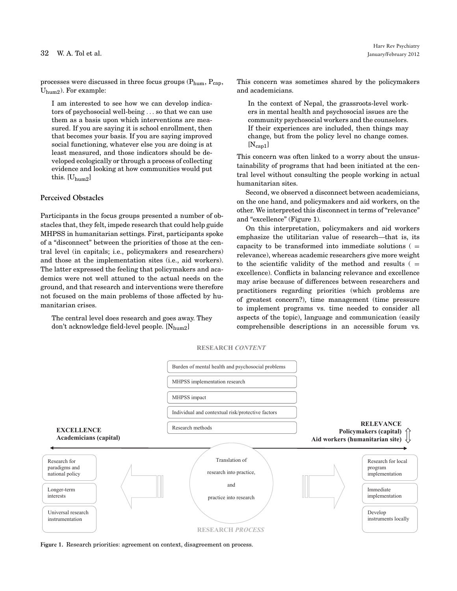# 32 W. A. Tol et al.

processes were discussed in three focus groups  $(P_{\text{hum}}, P_{\text{can}})$ Uhum2). For example:

I am interested to see how we can develop indicators of psychosocial well-being *...* so that we can use them as a basis upon which interventions are measured. If you are saying it is school enrollment, then that becomes your basis. If you are saying improved social functioning, whatever else you are doing is at least measured, and those indicators should be developed ecologically or through a process of collecting evidence and looking at how communities would put this. [Uhum2]

# **Perceived Obstacles**

Participants in the focus groups presented a number of obstacles that, they felt, impede research that could help guide MHPSS in humanitarian settings. First, participants spoke of a "disconnect" between the priorities of those at the central level (in capitals; i.e., policymakers and researchers) and those at the implementation sites (i.e., aid workers). The latter expressed the feeling that policymakers and academics were not well attuned to the actual needs on the ground, and that research and interventions were therefore not focused on the main problems of those affected by humanitarian crises.

The central level does research and goes away. They don't acknowledge field-level people. [N<sub>hum2</sub>]

This concern was sometimes shared by the policymakers and academicians.

In the context of Nepal, the grassroots-level workers in mental health and psychosocial issues are the community psychosocial workers and the counselors. If their experiences are included, then things may change, but from the policy level no change comes.  $[N_{\text{cap1}}]$ 

This concern was often linked to a worry about the unsustainability of programs that had been initiated at the central level without consulting the people working in actual humanitarian sites.

Second, we observed a disconnect between academicians, on the one hand, and policymakers and aid workers, on the other. We interpreted this disconnect in terms of "relevance" and "excellence" (Figure 1).

On this interpretation, policymakers and aid workers emphasize the utilitarian value of research—that is, its capacity to be transformed into immediate solutions  $($  = relevance), whereas academic researchers give more weight to the scientific validity of the method and results  $($  = excellence). Conflicts in balancing relevance and excellence may arise because of differences between researchers and practitioners regarding priorities (which problems are of greatest concern?), time management (time pressure to implement programs vs. time needed to consider all aspects of the topic), language and communication (easily comprehensible descriptions in an accessible forum vs.





**Figure 1.** Research priorities: agreement on context, disagreement on process.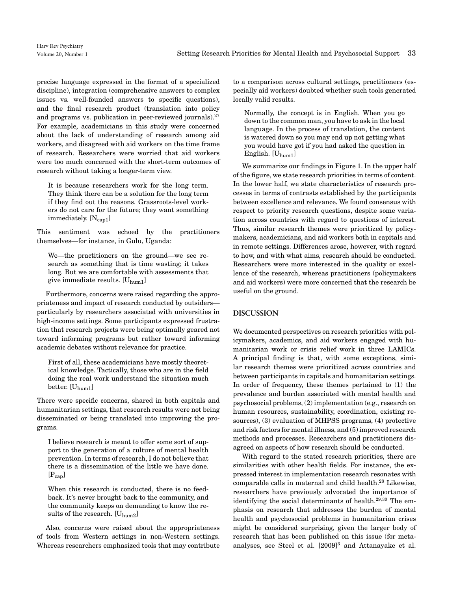precise language expressed in the format of a specialized discipline), integration (comprehensive answers to complex issues vs. well-founded answers to specific questions), and the final research product (translation into policy and programs vs. publication in peer-reviewed journals). $27$ For example, academicians in this study were concerned about the lack of understanding of research among aid workers, and disagreed with aid workers on the time frame of research. Researchers were worried that aid workers were too much concerned with the short-term outcomes of research without taking a longer-term view.

It is because researchers work for the long term. They think there can be a solution for the long term if they find out the reasons. Grassroots-level workers do not care for the future; they want something immediately.  $[N_{\text{can}}]$ 

This sentiment was echoed by the practitioners themselves—for instance, in Gulu, Uganda:

We—the practitioners on the ground—we see research as something that is time wasting; it takes long. But we are comfortable with assessments that give immediate results.  $[U_{\text{hum1}}]$ 

Furthermore, concerns were raised regarding the appropriateness and impact of research conducted by outsiders particularly by researchers associated with universities in high-income settings. Some participants expressed frustration that research projects were being optimally geared not toward informing programs but rather toward informing academic debates without relevance for practice.

First of all, these academicians have mostly theoretical knowledge. Tactically, those who are in the field doing the real work understand the situation much better. [Uhum1]

There were specific concerns, shared in both capitals and humanitarian settings, that research results were not being disseminated or being translated into improving the programs.

I believe research is meant to offer some sort of support to the generation of a culture of mental health prevention. In terms of research, I do not believe that there is a dissemination of the little we have done.  $[P_{cap}]$ 

When this research is conducted, there is no feedback. It's never brought back to the community, and the community keeps on demanding to know the results of the research.  $[U_{\text{hum2}}]$ 

Also, concerns were raised about the appropriateness of tools from Western settings in non-Western settings. Whereas researchers emphasized tools that may contribute to a comparison across cultural settings, practitioners (especially aid workers) doubted whether such tools generated locally valid results.

Normally, the concept is in English. When you go down to the common man, you have to ask in the local language. In the process of translation, the content is watered down so you may end up not getting what you would have got if you had asked the question in English.  $[U_{\text{hum1}}]$ 

We summarize our findings in Figure 1. In the upper half of the figure, we state research priorities in terms of content. In the lower half, we state characteristics of research processes in terms of contrasts established by the participants between excellence and relevance. We found consensus with respect to priority research questions, despite some variation across countries with regard to questions of interest. Thus, similar research themes were prioritized by policymakers, academicians, and aid workers both in capitals and in remote settings. Differences arose, however, with regard to how, and with what aims, research should be conducted. Researchers were more interested in the quality or excellence of the research, whereas practitioners (policymakers and aid workers) were more concerned that the research be useful on the ground.

# **DISCUSSION**

We documented perspectives on research priorities with policymakers, academics, and aid workers engaged with humanitarian work or crisis relief work in three LAMICs. A principal finding is that, with some exceptions, similar research themes were prioritized across countries and between participants in capitals and humanitarian settings. In order of frequency, these themes pertained to (1) the prevalence and burden associated with mental health and psychosocial problems, (2) implementation (e.g., research on human resources, sustainability, coordination, existing resources), (3) evaluation of MHPSS programs, (4) protective and risk factors for mental illness, and (5) improved research methods and processes. Researchers and practitioners disagreed on aspects of how research should be conducted.

With regard to the stated research priorities, there are similarities with other health fields. For instance, the expressed interest in implementation research resonates with comparable calls in maternal and child health.<sup>28</sup> Likewise, researchers have previously advocated the importance of identifying the social determinants of health.<sup>29</sup>*,*<sup>30</sup> The emphasis on research that addresses the burden of mental health and psychosocial problems in humanitarian crises might be considered surprising, given the larger body of research that has been published on this issue (for metaanalyses, see Steel et al. [2009]<sup>3</sup> and Attanayake et al.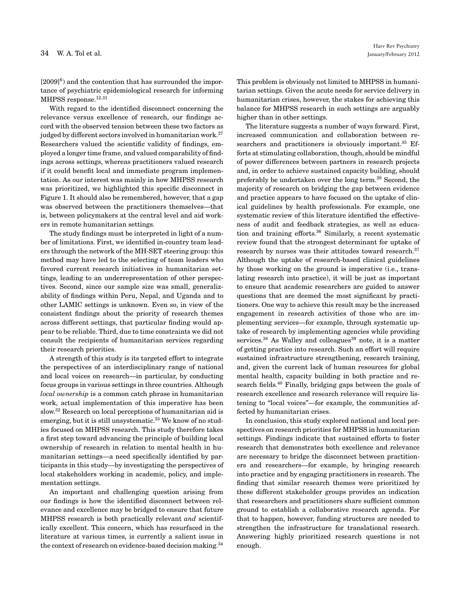$[2009]^{6}$ ) and the contention that has surrounded the importance of psychiatric epidemiological research for informing MHPSS response.<sup>12</sup>*,*<sup>31</sup>

With regard to the identified disconnect concerning the relevance versus excellence of research, our findings accord with the observed tension between these two factors as judged by different sectors involved in humanitarian work.<sup>27</sup> Researchers valued the scientific validity of findings, employed a longer time frame, and valued comparability of findings across settings, whereas practitioners valued research if it could benefit local and immediate program implementation. As our interest was mainly in how MHPSS research was prioritized, we highlighted this specific disconnect in Figure 1. It should also be remembered, however, that a gap was observed between the practitioners themselves—that is, between policymakers at the central level and aid workers in remote humanitarian settings.

The study findings must be interpreted in light of a number of limitations. First, we identified in-country team leaders through the network of the MH-SET steering group: this method may have led to the selecting of team leaders who favored current research initiatives in humanitarian settings, leading to an underrepresentation of other perspectives. Second, since our sample size was small, generalizability of findings within Peru, Nepal, and Uganda and to other LAMIC settings is unknown. Even so, in view of the consistent findings about the priority of research themes across different settings, that particular finding would appear to be reliable. Third, due to time constraints we did not consult the recipients of humanitarian services regarding their research priorities.

A strength of this study is its targeted effort to integrate the perspectives of an interdisciplinary range of national and local voices on research—in particular, by conducting focus groups in various settings in three countries. Although *local ownership* is a common catch phrase in humanitarian work, actual implementation of this imperative has been slow.<sup>32</sup> Research on local perceptions of humanitarian aid is emerging, but it is still unsystematic.<sup>33</sup> We know of no studies focused on MHPSS research. This study therefore takes a first step toward advancing the principle of building local ownership of research in relation to mental health in humanitarian settings—a need specifically identified by participants in this study—by investigating the perspectives of local stakeholders working in academic, policy, and implementation settings.

An important and challenging question arising from our findings is how the identified disconnect between relevance and excellence may be bridged to ensure that future MHPSS research is both practically relevant *and* scientifically excellent. This concern, which has resurfaced in the literature at various times, is currently a salient issue in the context of research on evidence-based decision making.<sup>34</sup>

This problem is obviously not limited to MHPSS in humanitarian settings. Given the acute needs for service delivery in humanitarian crises, however, the stakes for achieving this balance for MHPSS research in such settings are arguably higher than in other settings.

The literature suggests a number of ways forward. First, increased communication and collaboration between researchers and practitioners is obviously important.<sup>35</sup> Efforts at stimulating collaboration, though, should be mindful of power differences between partners in research projects and, in order to achieve sustained capacity building, should preferably be undertaken over the long term.28 Second, the majority of research on bridging the gap between evidence and practice appears to have focused on the uptake of clinical guidelines by health professionals. For example, one systematic review of this literature identified the effectiveness of audit and feedback strategies, as well as education and training efforts.<sup>36</sup> Similarly, a recent systematic review found that the strongest determinant for uptake of research by nurses was their attitudes toward research.<sup>37</sup> Although the uptake of research-based clinical guidelines by those working on the ground is imperative (i.e., translating research into practice), it will be just as important to ensure that academic researchers are guided to answer questions that are deemed the most significant by practitioners. One way to achieve this result may be the increased engagement in research activities of those who are implementing services—for example, through systematic uptake of research by implementing agencies while providing services. $38$  As Walley and colleagues $39$  note, it is a matter of getting practice into research. Such an effort will require sustained infrastructure strengthening, research training, and, given the current lack of human resources for global mental health, capacity building in both practice and research fields.<sup>40</sup> Finally, bridging gaps between the goals of research excellence and research relevance will require listening to "local voices"—for example, the communities affected by humanitarian crises.

In conclusion, this study explored national and local perspectives on research priorities for MHPSS in humanitarian settings. Findings indicate that sustained efforts to foster research that demonstrates both excellence and relevance are necessary to bridge the disconnect between practitioners and researchers—for example, by bringing research into practice and by engaging practitioners in research. The finding that similar research themes were prioritized by these different stakeholder groups provides an indication that researchers and practitioners share sufficient common ground to establish a collaborative research agenda. For that to happen, however, funding structures are needed to strengthen the infrastructure for translational research. Answering highly prioritized research questions is not enough.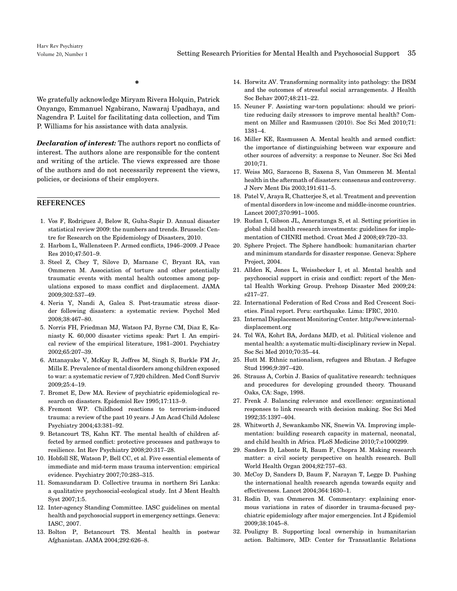**∗**

We gratefully acknowledge Miryam Rivera Holquin, Patrick Onyango, Emmanuel Ngabirano, Nawaraj Upadhaya, and Nagendra P. Luitel for facilitating data collection, and Tim P. Williams for his assistance with data analysis.

*Declaration of interest:* The authors report no conflicts of interest. The authors alone are responsible for the content and writing of the article. The views expressed are those of the authors and do not necessarily represent the views, policies, or decisions of their employers.

# **REFERENCES**

- 1. Vos F, Rodriguez J, Below R, Guha-Sapir D. Annual disaster statistical review 2009: the numbers and trends. Brussels: Centre for Research on the Epidemiology of Disasters, 2010.
- 2. Harbom L, Wallensteen P. Armed conflicts, 1946–2009. J Peace Res 2010;47:501–9.
- 3. Steel Z, Chey T, Silove D, Marnane C, Bryant RA, van Ommeren M. Association of torture and other potentially traumatic events with mental health outcomes among populations exposed to mass conflict and displacement. JAMA 2009;302:537–49.
- 4. Neria Y, Nandi A, Galea S. Post-traumatic stress disorder following disasters: a systematic review. Psychol Med 2008;38:467–80.
- 5. Norris FH, Friedman MJ, Watson PJ, Byrne CM, Diaz E, Kaniasty K. 60,000 disaster victims speak: Part I. An empirical review of the empirical literature, 1981–2001. Psychiatry 2002;65:207–39.
- 6. Attanayake V, McKay R, Joffres M, Singh S, Burkle FM Jr, Mills E. Prevalence of mental disorders among children exposed to war: a systematic review of 7,920 children. Med Confl Surviv 2009;25:4–19.
- 7. Bromet E, Dew MA. Review of psychiatric epidemiological research on disasters. Epidemiol Rev 1995;17:113–9.
- 8. Fremont WP. Childhood reactions to terrorism-induced trauma: a review of the past 10 years. J Am Acad Child Adolesc Psychiatry 2004;43:381–92.
- 9. Betancourt TS, Kahn KT. The mental health of children affected by armed conflict: protective processes and pathways to resilience. Int Rev Psychiatry 2008;20:317–28.
- 10. Hobfoll SE, Watson P, Bell CC, et al. Five essential elements of immediate and mid-term mass trauma intervention: empirical evidence. Psychiatry 2007;70:283–315.
- 11. Somasundaram D. Collective trauma in northern Sri Lanka: a qualitative psychosocial-ecological study. Int J Ment Health Syst 2007;1:5.
- 12. Inter-agency Standing Committee. IASC guidelines on mental health and psychosocial support in emergency settings. Geneva: IASC, 2007.
- 13. Bolton P, Betancourt TS. Mental health in postwar Afghanistan. JAMA 2004;292:626–8.
- 14. Horwitz AV. Transforming normality into pathology: the DSM and the outcomes of stressful social arrangements. J Health Soc Behav 2007;48:211–22.
- 15. Neuner F. Assisting war-torn populations: should we prioritize reducing daily stressors to improve mental health? Comment on Miller and Rasmussen (2010). Soc Sci Med 2010;71: 1381–4.
- 16. Miller KE, Rasmussen A. Mental health and armed conflict: the importance of distinguishing between war exposure and other sources of adversity: a response to Neuner. Soc Sci Med 2010;71.
- 17. Weiss MG, Saraceno B, Saxena S, Van Ommeren M. Mental health in the aftermath of disasters: consensus and controversy. J Nerv Ment Dis 2003;191:611–5.
- 18. Patel V, Araya R, Chatterjee S, et al. Treatment and prevention of mental disorders in low-income and middle-income countries. Lancet 2007;370:991–1005.
- 19. Rudan I, Gibson JL, Ameratunga S, et al. Setting priorities in global child health research investments: guidelines for implementation of CHNRI method. Croat Med J 2008;49:720–33.
- 20. Sphere Project. The Sphere handbook: humanitarian charter and minimum standards for disaster response. Geneva: Sphere Project, 2004.
- 21. Allden K, Jones L, Weissbecker I, et al. Mental health and psychosocial support in crisis and conflict: report of the Mental Health Working Group. Prehosp Disaster Med 2009;24: s217–27.
- 22. International Federation of Red Cross and Red Crescent Societies. Final report. Peru: earthquake. Lima: IFRC, 2010.
- 23. Internal Displacement Monitoring Center. http://www.internaldisplacement.org
- 24. Tol WA, Kohrt BA, Jordans MJD, et al. Political violence and mental health: a systematic multi-disciplinary review in Nepal. Soc Sci Med 2010;70:35–44.
- 25. Hutt M. Ethnic nationalism, refugees and Bhutan. J Refugee Stud 1996;9:397–420.
- 26. Strauss A, Corbin J. Basics of qualitative research: techniques and procedures for developing grounded theory. Thousand Oaks, CA: Sage, 1998.
- 27. Frenk J. Balancing relevance and excellence: organizational responses to link research with decision making. Soc Sci Med 1992;35:1397–404.
- 28. Whitworth J, Sewankambo NK, Snewin VA. Improving implementation: building research capacity in maternal, neonatal, and child health in Africa. PLoS Medicine 2010;7:e1000299.
- 29. Sanders D, Labonte R, Baum F, Chopra M. Making research matter: a civil society perspective on health research. Bull World Health Organ 2004;82:757–63.
- 30. McCoy D, Sanders D, Baum F, Narayan T, Legge D. Pushing the international health research agenda towards equity and effectiveness. Lancet 2004;364:1630–1.
- 31. Rodin D, van Ommeren M. Commentary: explaining enormous variations in rates of disorder in trauma-focused psychiatric epidemiology after major emergencies. Int J Epidemiol 2009;38:1045–8.
- 32. Pouligny B. Supporting local ownership in humanitarian action. Baltimore, MD: Center for Transatlantic Relations